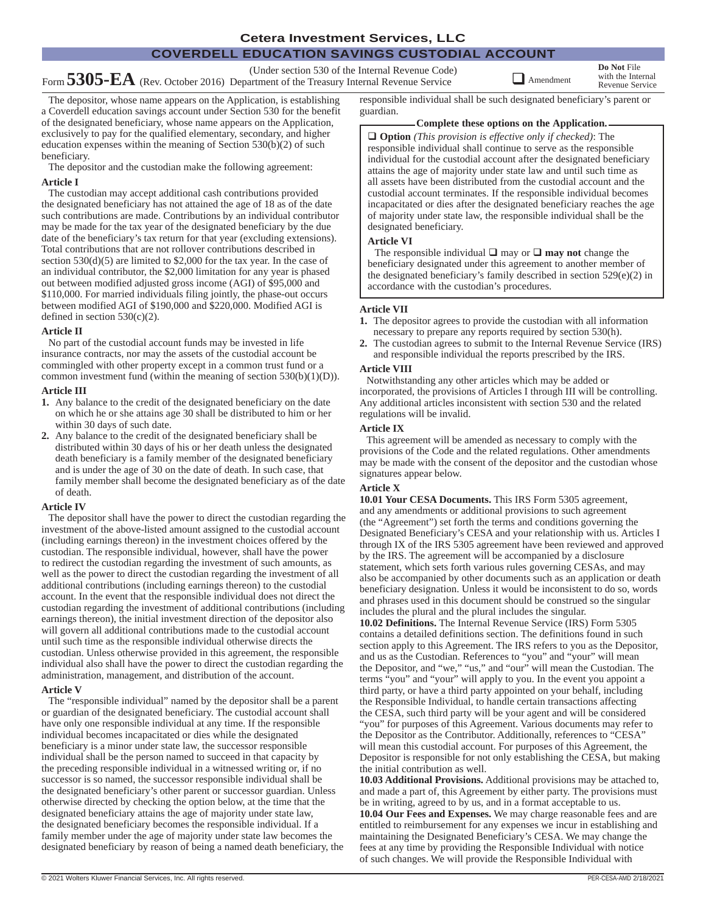## **COVERDELL EDUCATION SAVINGS CUSTODIAL ACCOUNT**

(Under section 530 of the Internal Revenue Code) Form **5305-EA** (Rev. October 2016) Department of the Treasury Internal Revenue Service

**Do Not** File Amendment with the Internal Revenue Service

The depositor, whose name appears on the Application, is establishing a Coverdell education savings account under Section 530 for the benefit of the designated beneficiary, whose name appears on the Application, exclusively to pay for the qualified elementary, secondary, and higher education expenses within the meaning of Section 530(b)(2) of such beneficiary.

The depositor and the custodian make the following agreement: **Article I**

#### The custodian may accept additional cash contributions provided the designated beneficiary has not attained the age of 18 as of the date such contributions are made. Contributions by an individual contributor may be made for the tax year of the designated beneficiary by the due date of the beneficiary's tax return for that year (excluding extensions). Total contributions that are not rollover contributions described in section 530(d)(5) are limited to \$2,000 for the tax year. In the case of an individual contributor, the \$2,000 limitation for any year is phased out between modified adjusted gross income (AGI) of \$95,000 and \$110,000. For married individuals filing jointly, the phase-out occurs between modified AGI of \$190,000 and \$220,000. Modified AGI is

## **Article II**

defined in section  $530(c)(2)$ .

No part of the custodial account funds may be invested in life insurance contracts, nor may the assets of the custodial account be commingled with other property except in a common trust fund or a common investment fund (within the meaning of section  $530(b)(1)(D)$ ).

## **Article III**

- **1.** Any balance to the credit of the designated beneficiary on the date on which he or she attains age 30 shall be distributed to him or her within 30 days of such date.
- **2.** Any balance to the credit of the designated beneficiary shall be distributed within 30 days of his or her death unless the designated death beneficiary is a family member of the designated beneficiary and is under the age of 30 on the date of death. In such case, that family member shall become the designated beneficiary as of the date of death.

#### **Article IV**

The depositor shall have the power to direct the custodian regarding the investment of the above-listed amount assigned to the custodial account (including earnings thereon) in the investment choices offered by the custodian. The responsible individual, however, shall have the power to redirect the custodian regarding the investment of such amounts, as well as the power to direct the custodian regarding the investment of all additional contributions (including earnings thereon) to the custodial account. In the event that the responsible individual does not direct the custodian regarding the investment of additional contributions (including earnings thereon), the initial investment direction of the depositor also will govern all additional contributions made to the custodial account until such time as the responsible individual otherwise directs the custodian. Unless otherwise provided in this agreement, the responsible individual also shall have the power to direct the custodian regarding the administration, management, and distribution of the account.

#### **Article V**

The "responsible individual" named by the depositor shall be a parent or guardian of the designated beneficiary. The custodial account shall have only one responsible individual at any time. If the responsible individual becomes incapacitated or dies while the designated beneficiary is a minor under state law, the successor responsible individual shall be the person named to succeed in that capacity by the preceding responsible individual in a witnessed writing or, if no successor is so named, the successor responsible individual shall be the designated beneficiary's other parent or successor guardian. Unless otherwise directed by checking the option below, at the time that the designated beneficiary attains the age of majority under state law, the designated beneficiary becomes the responsible individual. If a family member under the age of majority under state law becomes the designated beneficiary by reason of being a named death beneficiary, the responsible individual shall be such designated beneficiary's parent or guardian.

#### **Complete these options on the Application.**

q **Option** *(This provision is effective only if checked)*: The responsible individual shall continue to serve as the responsible individual for the custodial account after the designated beneficiary attains the age of majority under state law and until such time as all assets have been distributed from the custodial account and the custodial account terminates. If the responsible individual becomes incapacitated or dies after the designated beneficiary reaches the age of majority under state law, the responsible individual shall be the designated beneficiary.

## **Article VI**

The responsible individual  $\Box$  may or  $\Box$  **may not** change the beneficiary designated under this agreement to another member of the designated beneficiary's family described in section 529(e)(2) in accordance with the custodian's procedures.

## **Article VII**

- **1.** The depositor agrees to provide the custodian with all information necessary to prepare any reports required by section 530(h).
- **2.** The custodian agrees to submit to the Internal Revenue Service (IRS) and responsible individual the reports prescribed by the IRS.

## **Article VIII**

Notwithstanding any other articles which may be added or incorporated, the provisions of Articles I through III will be controlling. Any additional articles inconsistent with section 530 and the related regulations will be invalid.

## **Article IX**

This agreement will be amended as necessary to comply with the provisions of the Code and the related regulations. Other amendments may be made with the consent of the depositor and the custodian whose signatures appear below.

#### **Article X**

**10.01 Your CESA Documents.** This IRS Form 5305 agreement, and any amendments or additional provisions to such agreement (the "Agreement") set forth the terms and conditions governing the Designated Beneficiary's CESA and your relationship with us. Articles I through IX of the IRS 5305 agreement have been reviewed and approved by the IRS. The agreement will be accompanied by a disclosure statement, which sets forth various rules governing CESAs, and may also be accompanied by other documents such as an application or death beneficiary designation. Unless it would be inconsistent to do so, words and phrases used in this document should be construed so the singular includes the plural and the plural includes the singular.

**10.02 Definitions.** The Internal Revenue Service (IRS) Form 5305 contains a detailed definitions section. The definitions found in such section apply to this Agreement. The IRS refers to you as the Depositor, and us as the Custodian. References to "you" and "your" will mean the Depositor, and "we," "us," and "our" will mean the Custodian. The terms "you" and "your" will apply to you. In the event you appoint a third party, or have a third party appointed on your behalf, including the Responsible Individual, to handle certain transactions affecting the CESA, such third party will be your agent and will be considered "you" for purposes of this Agreement. Various documents may refer to the Depositor as the Contributor. Additionally, references to "CESA" will mean this custodial account. For purposes of this Agreement, the Depositor is responsible for not only establishing the CESA, but making the initial contribution as well.

**10.03 Additional Provisions.** Additional provisions may be attached to, and made a part of, this Agreement by either party. The provisions must be in writing, agreed to by us, and in a format acceptable to us.

**10.04 Our Fees and Expenses.** We may charge reasonable fees and are entitled to reimbursement for any expenses we incur in establishing and maintaining the Designated Beneficiary's CESA. We may change the fees at any time by providing the Responsible Individual with notice of such changes. We will provide the Responsible Individual with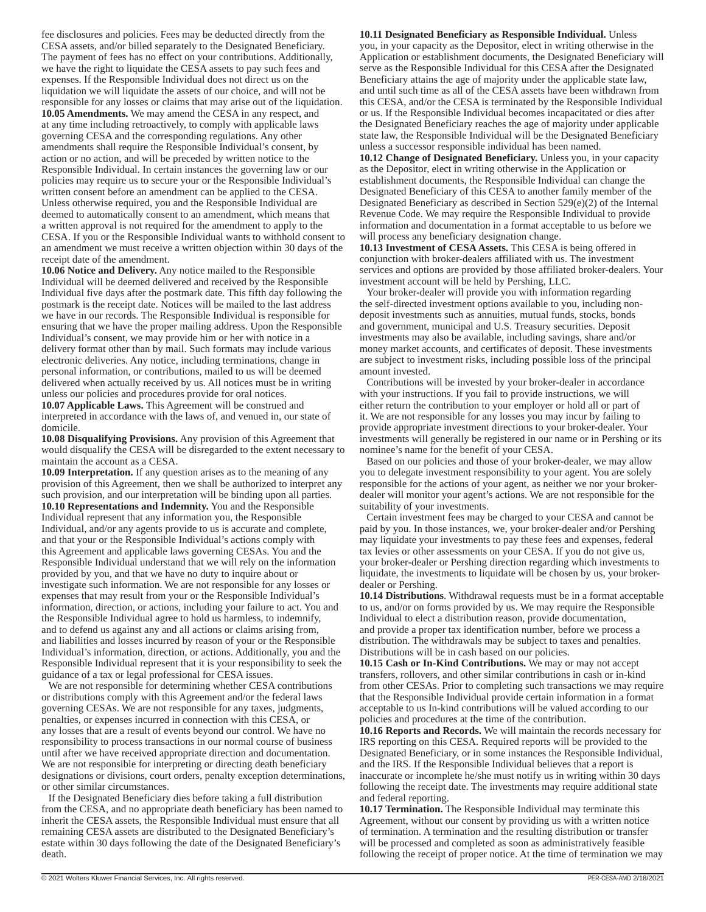fee disclosures and policies. Fees may be deducted directly from the CESA assets, and/or billed separately to the Designated Beneficiary. The payment of fees has no effect on your contributions. Additionally, we have the right to liquidate the CESA assets to pay such fees and expenses. If the Responsible Individual does not direct us on the liquidation we will liquidate the assets of our choice, and will not be responsible for any losses or claims that may arise out of the liquidation. **10.05 Amendments.** We may amend the CESA in any respect, and at any time including retroactively, to comply with applicable laws governing CESA and the corresponding regulations. Any other amendments shall require the Responsible Individual's consent, by action or no action, and will be preceded by written notice to the Responsible Individual. In certain instances the governing law or our policies may require us to secure your or the Responsible Individual's written consent before an amendment can be applied to the CESA. Unless otherwise required, you and the Responsible Individual are deemed to automatically consent to an amendment, which means that a written approval is not required for the amendment to apply to the CESA. If you or the Responsible Individual wants to withhold consent to an amendment we must receive a written objection within 30 days of the receipt date of the amendment.

**10.06 Notice and Delivery.** Any notice mailed to the Responsible Individual will be deemed delivered and received by the Responsible Individual five days after the postmark date. This fifth day following the postmark is the receipt date. Notices will be mailed to the last address we have in our records. The Responsible Individual is responsible for ensuring that we have the proper mailing address. Upon the Responsible Individual's consent, we may provide him or her with notice in a delivery format other than by mail. Such formats may include various electronic deliveries. Any notice, including terminations, change in personal information, or contributions, mailed to us will be deemed delivered when actually received by us. All notices must be in writing unless our policies and procedures provide for oral notices.

**10.07 Applicable Laws.** This Agreement will be construed and interpreted in accordance with the laws of, and venued in, our state of domicile.

**10.08 Disqualifying Provisions.** Any provision of this Agreement that would disqualify the CESA will be disregarded to the extent necessary to maintain the account as a CESA.

**10.09 Interpretation.** If any question arises as to the meaning of any provision of this Agreement, then we shall be authorized to interpret any such provision, and our interpretation will be binding upon all parties. **10.10 Representations and Indemnity.** You and the Responsible Individual represent that any information you, the Responsible Individual, and/or any agents provide to us is accurate and complete, and that your or the Responsible Individual's actions comply with this Agreement and applicable laws governing CESAs. You and the Responsible Individual understand that we will rely on the information provided by you, and that we have no duty to inquire about or investigate such information. We are not responsible for any losses or expenses that may result from your or the Responsible Individual's information, direction, or actions, including your failure to act. You and the Responsible Individual agree to hold us harmless, to indemnify, and to defend us against any and all actions or claims arising from, and liabilities and losses incurred by reason of your or the Responsible Individual's information, direction, or actions. Additionally, you and the Responsible Individual represent that it is your responsibility to seek the guidance of a tax or legal professional for CESA issues.

We are not responsible for determining whether CESA contributions or distributions comply with this Agreement and/or the federal laws governing CESAs. We are not responsible for any taxes, judgments, penalties, or expenses incurred in connection with this CESA, or any losses that are a result of events beyond our control. We have no responsibility to process transactions in our normal course of business until after we have received appropriate direction and documentation. We are not responsible for interpreting or directing death beneficiary designations or divisions, court orders, penalty exception determinations, or other similar circumstances.

If the Designated Beneficiary dies before taking a full distribution from the CESA, and no appropriate death beneficiary has been named to inherit the CESA assets, the Responsible Individual must ensure that all remaining CESA assets are distributed to the Designated Beneficiary's estate within 30 days following the date of the Designated Beneficiary's death.

#### **10.11 Designated Beneficiary as Responsible Individual.** Unless

you, in your capacity as the Depositor, elect in writing otherwise in the Application or establishment documents, the Designated Beneficiary will serve as the Responsible Individual for this CESA after the Designated Beneficiary attains the age of majority under the applicable state law, and until such time as all of the CESA assets have been withdrawn from this CESA, and/or the CESA is terminated by the Responsible Individual or us. If the Responsible Individual becomes incapacitated or dies after the Designated Beneficiary reaches the age of majority under applicable state law, the Responsible Individual will be the Designated Beneficiary unless a successor responsible individual has been named.

**10.12 Change of Designated Beneficiary.** Unless you, in your capacity as the Depositor, elect in writing otherwise in the Application or establishment documents, the Responsible Individual can change the Designated Beneficiary of this CESA to another family member of the Designated Beneficiary as described in Section 529(e)(2) of the Internal Revenue Code. We may require the Responsible Individual to provide information and documentation in a format acceptable to us before we will process any beneficiary designation change.

**10.13 Investment of CESA Assets.** This CESA is being offered in conjunction with broker-dealers affiliated with us. The investment services and options are provided by those affiliated broker-dealers. Your investment account will be held by Pershing, LLC.

Your broker-dealer will provide you with information regarding the self-directed investment options available to you, including nondeposit investments such as annuities, mutual funds, stocks, bonds and government, municipal and U.S. Treasury securities. Deposit investments may also be available, including savings, share and/or money market accounts, and certificates of deposit. These investments are subject to investment risks, including possible loss of the principal amount invested.

Contributions will be invested by your broker-dealer in accordance with your instructions. If you fail to provide instructions, we will either return the contribution to your employer or hold all or part of it. We are not responsible for any losses you may incur by failing to provide appropriate investment directions to your broker-dealer. Your investments will generally be registered in our name or in Pershing or its nominee's name for the benefit of your CESA.

Based on our policies and those of your broker-dealer, we may allow you to delegate investment responsibility to your agent. You are solely responsible for the actions of your agent, as neither we nor your brokerdealer will monitor your agent's actions. We are not responsible for the suitability of your investments.

Certain investment fees may be charged to your CESA and cannot be paid by you. In those instances, we, your broker-dealer and/or Pershing may liquidate your investments to pay these fees and expenses, federal tax levies or other assessments on your CESA. If you do not give us, your broker-dealer or Pershing direction regarding which investments to liquidate, the investments to liquidate will be chosen by us, your brokerdealer or Pershing.

**10.14 Distributions**. Withdrawal requests must be in a format acceptable to us, and/or on forms provided by us. We may require the Responsible Individual to elect a distribution reason, provide documentation, and provide a proper tax identification number, before we process a distribution. The withdrawals may be subject to taxes and penalties. Distributions will be in cash based on our policies.

**10.15 Cash or In-Kind Contributions.** We may or may not accept transfers, rollovers, and other similar contributions in cash or in-kind from other CESAs. Prior to completing such transactions we may require that the Responsible Individual provide certain information in a format acceptable to us In-kind contributions will be valued according to our policies and procedures at the time of the contribution.

**10.16 Reports and Records.** We will maintain the records necessary for IRS reporting on this CESA. Required reports will be provided to the Designated Beneficiary, or in some instances the Responsible Individual, and the IRS. If the Responsible Individual believes that a report is inaccurate or incomplete he/she must notify us in writing within 30 days following the receipt date. The investments may require additional state and federal reporting.

**10.17 Termination.** The Responsible Individual may terminate this Agreement, without our consent by providing us with a written notice of termination. A termination and the resulting distribution or transfer will be processed and completed as soon as administratively feasible following the receipt of proper notice. At the time of termination we may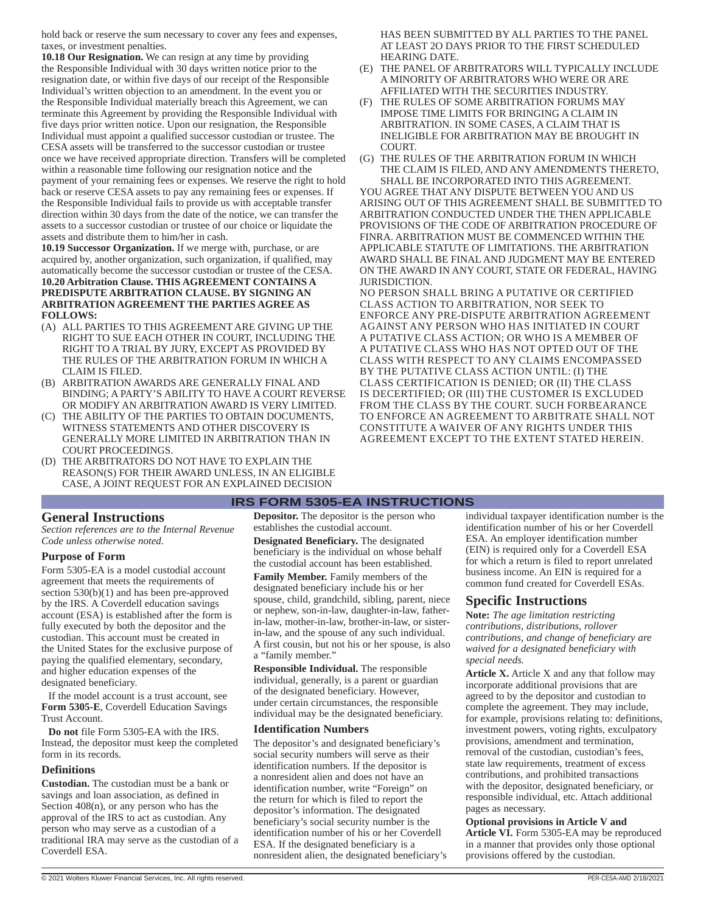hold back or reserve the sum necessary to cover any fees and expenses, taxes, or investment penalties.

**10.18 Our Resignation.** We can resign at any time by providing the Responsible Individual with 30 days written notice prior to the resignation date, or within five days of our receipt of the Responsible Individual's written objection to an amendment. In the event you or the Responsible Individual materially breach this Agreement, we can terminate this Agreement by providing the Responsible Individual with five days prior written notice. Upon our resignation, the Responsible Individual must appoint a qualified successor custodian or trustee. The CESA assets will be transferred to the successor custodian or trustee once we have received appropriate direction. Transfers will be completed within a reasonable time following our resignation notice and the payment of your remaining fees or expenses. We reserve the right to hold back or reserve CESA assets to pay any remaining fees or expenses. If the Responsible Individual fails to provide us with acceptable transfer direction within 30 days from the date of the notice, we can transfer the assets to a successor custodian or trustee of our choice or liquidate the assets and distribute them to him/her in cash.

**10.19 Successor Organization.** If we merge with, purchase, or are acquired by, another organization, such organization, if qualified, may automatically become the successor custodian or trustee of the CESA. **10.20 Arbitration Clause. THIS AGREEMENT CONTAINS A PREDISPUTE ARBITRATION CLAUSE. BY SIGNING AN ARBITRATION AGREEMENT THE PARTIES AGREE AS FOLLOWS:**

- (A) ALL PARTIES TO THIS AGREEMENT ARE GIVING UP THE RIGHT TO SUE EACH OTHER IN COURT, INCLUDING THE RIGHT TO A TRIAL BY JURY, EXCEPT AS PROVIDED BY THE RULES OF THE ARBITRATION FORUM IN WHICH A CLAIM IS FILED.
- (B) ARBITRATION AWARDS ARE GENERALLY FINAL AND BINDING; A PARTY'S ABILITY TO HAVE A COURT REVERSE OR MODIFY AN ARBITRATION AWARD IS VERY LIMITED.
- (C) THE ABILITY OF THE PARTIES TO OBTAIN DOCUMENTS, WITNESS STATEMENTS AND OTHER DISCOVERY IS GENERALLY MORE LIMITED IN ARBITRATION THAN IN COURT PROCEEDINGS.
- (D) THE ARBITRATORS DO NOT HAVE TO EXPLAIN THE REASON(S) FOR THEIR AWARD UNLESS, IN AN ELIGIBLE CASE, A JOINT REQUEST FOR AN EXPLAINED DECISION

## **General Instructions**

*Section references are to the Internal Revenue Code unless otherwise noted.*

#### **Purpose of Form**

Form 5305-EA is a model custodial account agreement that meets the requirements of section 530(b)(1) and has been pre-approved by the IRS. A Coverdell education savings account (ESA) is established after the form is fully executed by both the depositor and the custodian. This account must be created in the United States for the exclusive purpose of paying the qualified elementary, secondary, and higher education expenses of the designated beneficiary.

If the model account is a trust account, see **Form 5305-E**, Coverdell Education Savings Trust Account.

**Do not** file Form 5305-EA with the IRS. Instead, the depositor must keep the completed form in its records.

#### **Definitions**

**Custodian.** The custodian must be a bank or savings and loan association, as defined in Section  $408(n)$ , or any person who has the approval of the IRS to act as custodian. Any person who may serve as a custodian of a traditional IRA may serve as the custodian of a Coverdell ESA.

**Depositor.** The depositor is the person who establishes the custodial account.

**IRS FORM 5305-EA INSTRUCTIONS**

**Designated Beneficiary.** The designated beneficiary is the individual on whose behalf the custodial account has been established.

**Family Member.** Family members of the designated beneficiary include his or her spouse, child, grandchild, sibling, parent, niece or nephew, son-in-law, daughter-in-law, fatherin-law, mother-in-law, brother-in-law, or sisterin-law, and the spouse of any such individual. A first cousin, but not his or her spouse, is also a "family member."

**Responsible Individual.** The responsible individual, generally, is a parent or guardian of the designated beneficiary. However, under certain circumstances, the responsible individual may be the designated beneficiary.

#### **Identification Numbers**

The depositor's and designated beneficiary's social security numbers will serve as their identification numbers. If the depositor is a nonresident alien and does not have an identification number, write "Foreign" on the return for which is filed to report the depositor's information. The designated beneficiary's social security number is the identification number of his or her Coverdell ESA. If the designated beneficiary is a nonresident alien, the designated beneficiary's

HAS BEEN SUBMITTED BY ALL PARTIES TO THE PANEL AT LEAST 2O DAYS PRIOR TO THE FIRST SCHEDULED HEARING DATE.

- (E) THE PANEL OF ARBITRATORS WILL TYPICALLY INCLUDE A MINORITY OF ARBITRATORS WHO WERE OR ARE AFFILIATED WITH THE SECURITIES INDUSTRY.
- (F) THE RULES OF SOME ARBITRATION FORUMS MAY IMPOSE TIME LIMITS FOR BRINGING A CLAIM IN ARBITRATION. IN SOME CASES, A CLAIM THAT IS INELIGIBLE FOR ARBITRATION MAY BE BROUGHT IN **COURT**

(G) THE RULES OF THE ARBITRATION FORUM IN WHICH THE CLAIM IS FILED, AND ANY AMENDMENTS THERETO, SHALL BE INCORPORATED INTO THIS AGREEMENT. YOU AGREE THAT ANY DISPUTE BETWEEN YOU AND US ARISING OUT OF THIS AGREEMENT SHALL BE SUBMITTED TO ARBITRATION CONDUCTED UNDER THE THEN APPLICABLE PROVISIONS OF THE CODE OF ARBITRATION PROCEDURE OF FINRA. ARBITRATION MUST BE COMMENCED WITHIN THE APPLICABLE STATUTE OF LIMITATIONS. THE ARBITRATION AWARD SHALL BE FINAL AND JUDGMENT MAY BE ENTERED ON THE AWARD IN ANY COURT, STATE OR FEDERAL, HAVING JURISDICTION.

NO PERSON SHALL BRING A PUTATIVE OR CERTIFIED CLASS ACTION TO ARBITRATION, NOR SEEK TO ENFORCE ANY PRE-DISPUTE ARBITRATION AGREEMENT AGAINST ANY PERSON WHO HAS INITIATED IN COURT A PUTATIVE CLASS ACTION; OR WHO IS A MEMBER OF A PUTATIVE CLASS WHO HAS NOT OPTED OUT OF THE CLASS WITH RESPECT TO ANY CLAIMS ENCOMPASSED BY THE PUTATIVE CLASS ACTION UNTIL: (I) THE CLASS CERTIFICATION IS DENIED; OR (II) THE CLASS IS DECERTIFIED; OR (III) THE CUSTOMER IS EXCLUDED FROM THE CLASS BY THE COURT. SUCH FORBEARANCE TO ENFORCE AN AGREEMENT TO ARBITRATE SHALL NOT CONSTITUTE A WAIVER OF ANY RIGHTS UNDER THIS AGREEMENT EXCEPT TO THE EXTENT STATED HEREIN.

> individual taxpayer identification number is the identification number of his or her Coverdell ESA. An employer identification number (EIN) is required only for a Coverdell ESA for which a return is filed to report unrelated business income. An EIN is required for a common fund created for Coverdell ESAs.

## **Specific Instructions**

**Note:** *The age limitation restricting contributions, distributions, rollover contributions, and change of beneficiary are waived for a designated beneficiary with special needs.*

**Article X.** Article X and any that follow may incorporate additional provisions that are agreed to by the depositor and custodian to complete the agreement. They may include, for example, provisions relating to: definitions, investment powers, voting rights, exculpatory provisions, amendment and termination, removal of the custodian, custodian's fees, state law requirements, treatment of excess contributions, and prohibited transactions with the depositor, designated beneficiary, or responsible individual, etc. Attach additional pages as necessary.

**Optional provisions in Article V and Article VI.** Form 5305-EA may be reproduced in a manner that provides only those optional provisions offered by the custodian.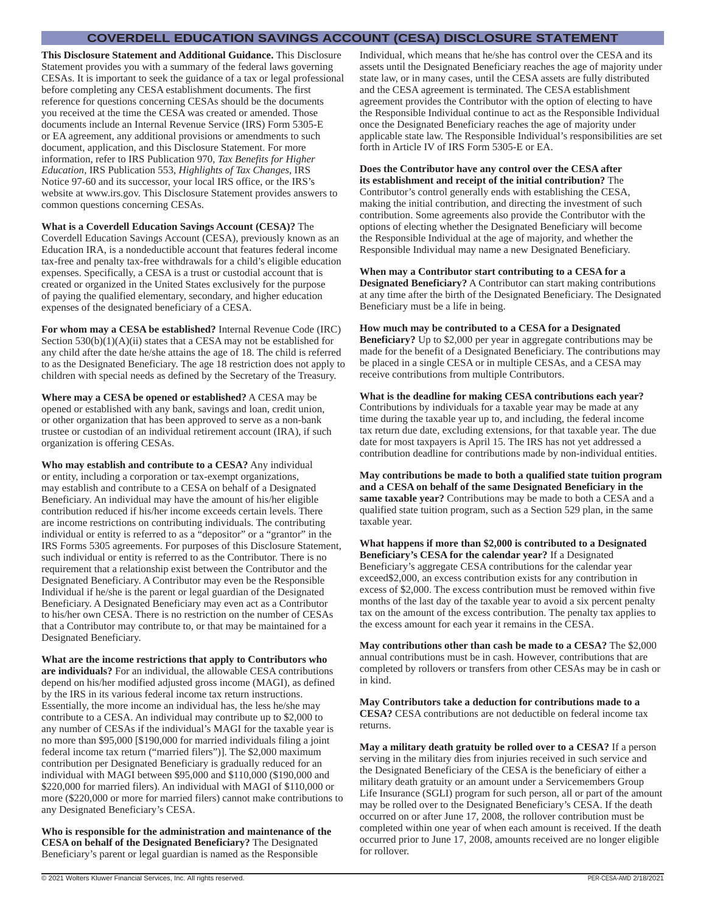## **COVERDELL EDUCATION SAVINGS ACCOUNT (CESA) DISCLOSURE STATEMENT**

**This Disclosure Statement and Additional Guidance.** This Disclosure Statement provides you with a summary of the federal laws governing CESAs. It is important to seek the guidance of a tax or legal professional before completing any CESA establishment documents. The first reference for questions concerning CESAs should be the documents you received at the time the CESA was created or amended. Those documents include an Internal Revenue Service (IRS) Form 5305-E or EA agreement, any additional provisions or amendments to such document, application, and this Disclosure Statement. For more information, refer to IRS Publication 970, *Tax Benefits for Higher Education,* IRS Publication 553, *Highlights of Tax Changes,* IRS Notice 97-60 and its successor, your local IRS office, or the IRS's website at www.irs.gov. This Disclosure Statement provides answers to common questions concerning CESAs.

**What is a Coverdell Education Savings Account (CESA)?** The Coverdell Education Savings Account (CESA), previously known as an Education IRA, is a nondeductible account that features federal income tax-free and penalty tax-free withdrawals for a child's eligible education expenses. Specifically, a CESA is a trust or custodial account that is created or organized in the United States exclusively for the purpose of paying the qualified elementary, secondary, and higher education expenses of the designated beneficiary of a CESA.

**For whom may a CESA be established?** Internal Revenue Code (IRC) Section  $530(b)(1)(A)(ii)$  states that a CESA may not be established for any child after the date he/she attains the age of 18. The child is referred to as the Designated Beneficiary. The age 18 restriction does not apply to children with special needs as defined by the Secretary of the Treasury.

**Where may a CESA be opened or established?** A CESA may be opened or established with any bank, savings and loan, credit union, or other organization that has been approved to serve as a non-bank trustee or custodian of an individual retirement account (IRA), if such organization is offering CESAs.

**Who may establish and contribute to a CESA?** Any individual or entity, including a corporation or tax-exempt organizations, may establish and contribute to a CESA on behalf of a Designated Beneficiary. An individual may have the amount of his/her eligible contribution reduced if his/her income exceeds certain levels. There are income restrictions on contributing individuals. The contributing individual or entity is referred to as a "depositor" or a "grantor" in the IRS Forms 5305 agreements. For purposes of this Disclosure Statement, such individual or entity is referred to as the Contributor. There is no requirement that a relationship exist between the Contributor and the Designated Beneficiary. A Contributor may even be the Responsible Individual if he/she is the parent or legal guardian of the Designated Beneficiary. A Designated Beneficiary may even act as a Contributor to his/her own CESA. There is no restriction on the number of CESAs that a Contributor may contribute to, or that may be maintained for a Designated Beneficiary.

**What are the income restrictions that apply to Contributors who are individuals?** For an individual, the allowable CESA contributions depend on his/her modified adjusted gross income (MAGI), as defined by the IRS in its various federal income tax return instructions. Essentially, the more income an individual has, the less he/she may contribute to a CESA. An individual may contribute up to \$2,000 to any number of CESAs if the individual's MAGI for the taxable year is no more than \$95,000 [\$190,000 for married individuals filing a joint federal income tax return ("married filers")]. The \$2,000 maximum contribution per Designated Beneficiary is gradually reduced for an individual with MAGI between \$95,000 and \$110,000 (\$190,000 and \$220,000 for married filers). An individual with MAGI of \$110,000 or more (\$220,000 or more for married filers) cannot make contributions to any Designated Beneficiary's CESA.

**Who is responsible for the administration and maintenance of the CESA on behalf of the Designated Beneficiary?** The Designated Beneficiary's parent or legal guardian is named as the Responsible

Individual, which means that he/she has control over the CESA and its assets until the Designated Beneficiary reaches the age of majority under state law, or in many cases, until the CESA assets are fully distributed and the CESA agreement is terminated. The CESA establishment agreement provides the Contributor with the option of electing to have the Responsible Individual continue to act as the Responsible Individual once the Designated Beneficiary reaches the age of majority under applicable state law. The Responsible Individual's responsibilities are set forth in Article IV of IRS Form 5305-E or EA.

#### **Does the Contributor have any control over the CESA after its establishment and receipt of the initial contribution?** The

Contributor's control generally ends with establishing the CESA, making the initial contribution, and directing the investment of such contribution. Some agreements also provide the Contributor with the options of electing whether the Designated Beneficiary will become the Responsible Individual at the age of majority, and whether the Responsible Individual may name a new Designated Beneficiary.

#### **When may a Contributor start contributing to a CESA for a**

**Designated Beneficiary?** A Contributor can start making contributions at any time after the birth of the Designated Beneficiary. The Designated Beneficiary must be a life in being.

#### **How much may be contributed to a CESA for a Designated**

**Beneficiary?** Up to \$2,000 per year in aggregate contributions may be made for the benefit of a Designated Beneficiary. The contributions may be placed in a single CESA or in multiple CESAs, and a CESA may receive contributions from multiple Contributors.

**What is the deadline for making CESA contributions each year?** Contributions by individuals for a taxable year may be made at any time during the taxable year up to, and including, the federal income tax return due date, excluding extensions, for that taxable year. The due date for most taxpayers is April 15. The IRS has not yet addressed a contribution deadline for contributions made by non-individual entities.

**May contributions be made to both a qualified state tuition program and a CESA on behalf of the same Designated Beneficiary in the same taxable year?** Contributions may be made to both a CESA and a qualified state tuition program, such as a Section 529 plan, in the same taxable year.

**What happens if more than \$2,000 is contributed to a Designated Beneficiary's CESA for the calendar year?** If a Designated Beneficiary's aggregate CESA contributions for the calendar year exceed\$2,000, an excess contribution exists for any contribution in excess of \$2,000. The excess contribution must be removed within five months of the last day of the taxable year to avoid a six percent penalty tax on the amount of the excess contribution. The penalty tax applies to the excess amount for each year it remains in the CESA.

**May contributions other than cash be made to a CESA?** The \$2,000 annual contributions must be in cash. However, contributions that are completed by rollovers or transfers from other CESAs may be in cash or in kind.

**May Contributors take a deduction for contributions made to a CESA?** CESA contributions are not deductible on federal income tax returns.

**May a military death gratuity be rolled over to a CESA?** If a person serving in the military dies from injuries received in such service and the Designated Beneficiary of the CESA is the beneficiary of either a military death gratuity or an amount under a Servicemembers Group Life Insurance (SGLI) program for such person, all or part of the amount may be rolled over to the Designated Beneficiary's CESA. If the death occurred on or after June 17, 2008, the rollover contribution must be completed within one year of when each amount is received. If the death occurred prior to June 17, 2008, amounts received are no longer eligible for rollover.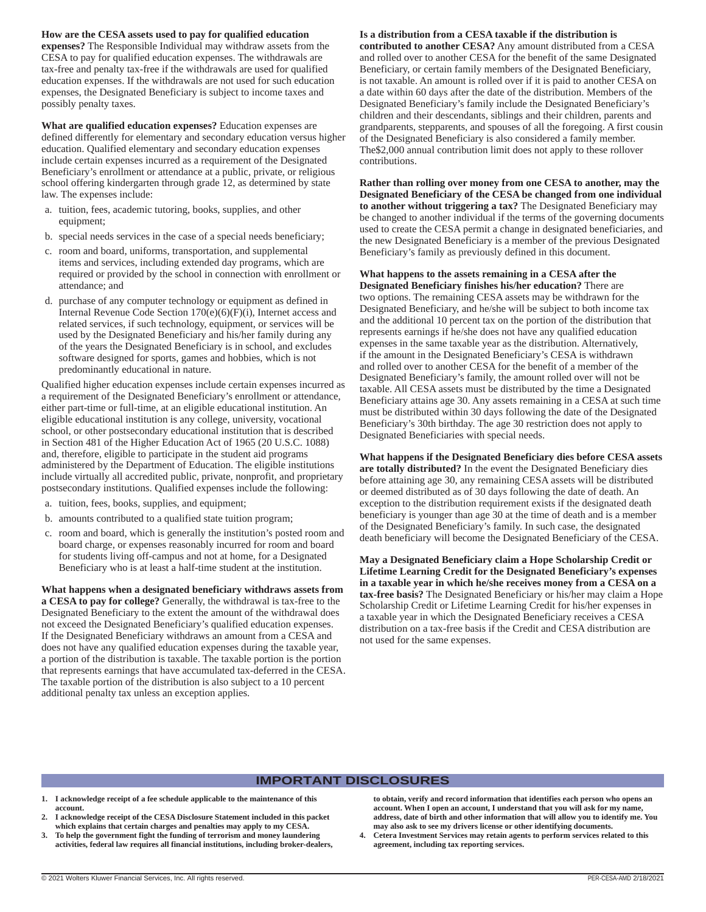#### **How are the CESA assets used to pay for qualified education**

**expenses?** The Responsible Individual may withdraw assets from the CESA to pay for qualified education expenses. The withdrawals are tax-free and penalty tax-free if the withdrawals are used for qualified education expenses. If the withdrawals are not used for such education expenses, the Designated Beneficiary is subject to income taxes and possibly penalty taxes.

**What are qualified education expenses?** Education expenses are defined differently for elementary and secondary education versus higher education. Qualified elementary and secondary education expenses include certain expenses incurred as a requirement of the Designated Beneficiary's enrollment or attendance at a public, private, or religious school offering kindergarten through grade 12, as determined by state law. The expenses include:

- a. tuition, fees, academic tutoring, books, supplies, and other equipment;
- b. special needs services in the case of a special needs beneficiary;
- c. room and board, uniforms, transportation, and supplemental items and services, including extended day programs, which are required or provided by the school in connection with enrollment or attendance; and
- d. purchase of any computer technology or equipment as defined in Internal Revenue Code Section 170(e)(6)(F)(i), Internet access and related services, if such technology, equipment, or services will be used by the Designated Beneficiary and his/her family during any of the years the Designated Beneficiary is in school, and excludes software designed for sports, games and hobbies, which is not predominantly educational in nature.

Qualified higher education expenses include certain expenses incurred as a requirement of the Designated Beneficiary's enrollment or attendance, either part-time or full-time, at an eligible educational institution. An eligible educational institution is any college, university, vocational school, or other postsecondary educational institution that is described in Section 481 of the Higher Education Act of 1965 (20 U.S.C. 1088) and, therefore, eligible to participate in the student aid programs administered by the Department of Education. The eligible institutions include virtually all accredited public, private, nonprofit, and proprietary postsecondary institutions. Qualified expenses include the following:

- a. tuition, fees, books, supplies, and equipment;
- b. amounts contributed to a qualified state tuition program;
- c. room and board, which is generally the institution's posted room and board charge, or expenses reasonably incurred for room and board for students living off-campus and not at home, for a Designated Beneficiary who is at least a half-time student at the institution.

**What happens when a designated beneficiary withdraws assets from a CESA to pay for college?** Generally, the withdrawal is tax-free to the Designated Beneficiary to the extent the amount of the withdrawal does not exceed the Designated Beneficiary's qualified education expenses. If the Designated Beneficiary withdraws an amount from a CESA and does not have any qualified education expenses during the taxable year, a portion of the distribution is taxable. The taxable portion is the portion that represents earnings that have accumulated tax-deferred in the CESA. The taxable portion of the distribution is also subject to a 10 percent additional penalty tax unless an exception applies.

#### **Is a distribution from a CESA taxable if the distribution is**

**contributed to another CESA?** Any amount distributed from a CESA and rolled over to another CESA for the benefit of the same Designated Beneficiary, or certain family members of the Designated Beneficiary, is not taxable. An amount is rolled over if it is paid to another CESA on a date within 60 days after the date of the distribution. Members of the Designated Beneficiary's family include the Designated Beneficiary's children and their descendants, siblings and their children, parents and grandparents, stepparents, and spouses of all the foregoing. A first cousin of the Designated Beneficiary is also considered a family member. The\$2,000 annual contribution limit does not apply to these rollover contributions.

**Rather than rolling over money from one CESA to another, may the Designated Beneficiary of the CESA be changed from one individual to another without triggering a tax?** The Designated Beneficiary may be changed to another individual if the terms of the governing documents used to create the CESA permit a change in designated beneficiaries, and the new Designated Beneficiary is a member of the previous Designated Beneficiary's family as previously defined in this document.

**What happens to the assets remaining in a CESA after the Designated Beneficiary finishes his/her education?** There are two options. The remaining CESA assets may be withdrawn for the Designated Beneficiary, and he/she will be subject to both income tax and the additional 10 percent tax on the portion of the distribution that represents earnings if he/she does not have any qualified education expenses in the same taxable year as the distribution. Alternatively, if the amount in the Designated Beneficiary's CESA is withdrawn and rolled over to another CESA for the benefit of a member of the Designated Beneficiary's family, the amount rolled over will not be taxable. All CESA assets must be distributed by the time a Designated Beneficiary attains age 30. Any assets remaining in a CESA at such time must be distributed within 30 days following the date of the Designated Beneficiary's 30th birthday. The age 30 restriction does not apply to Designated Beneficiaries with special needs.

**What happens if the Designated Beneficiary dies before CESA assets are totally distributed?** In the event the Designated Beneficiary dies before attaining age 30, any remaining CESA assets will be distributed or deemed distributed as of 30 days following the date of death. An exception to the distribution requirement exists if the designated death beneficiary is younger than age 30 at the time of death and is a member of the Designated Beneficiary's family. In such case, the designated death beneficiary will become the Designated Beneficiary of the CESA.

**May a Designated Beneficiary claim a Hope Scholarship Credit or Lifetime Learning Credit for the Designated Beneficiary's expenses in a taxable year in which he/she receives money from a CESA on a tax-free basis?** The Designated Beneficiary or his/her may claim a Hope Scholarship Credit or Lifetime Learning Credit for his/her expenses in a taxable year in which the Designated Beneficiary receives a CESA distribution on a tax-free basis if the Credit and CESA distribution are not used for the same expenses.

#### **IMPORTANT DISCLOSURES**

- **1. I acknowledge receipt of a fee schedule applicable to the maintenance of this account.**
- **2. I acknowledge receipt of the CESA Disclosure Statement included in this packet which explains that certain charges and penalties may apply to my CESA.**
- **3. To help the government fight the funding of terrorism and money laundering activities, federal law requires all financial institutions, including broker-dealers,**

**to obtain, verify and record information that identifies each person who opens an account. When I open an account, I understand that you will ask for my name, address, date of birth and other information that will allow you to identify me. You may also ask to see my drivers license or other identifying documents.**

**4. Cetera Investment Services may retain agents to perform services related to this agreement, including tax reporting services.**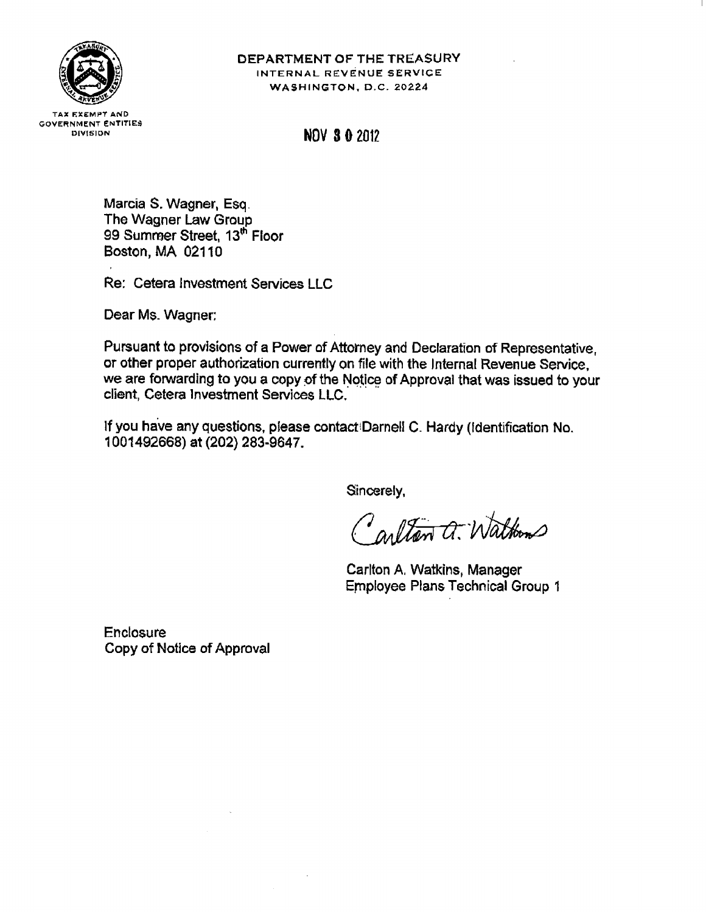

## DEPARTMENT OF THE TREASURY INTERNAL REVENUE SERVICE WASHINGTON, D.C. 20224

**TAX EXEMPT AND GOVERNMENT ENTITIES** DIVISION

**NOV 3 0 2012** 

Marcia S. Wagner, Esq. The Wagner Law Group 99 Summer Street, 13<sup>th</sup> Floor Boston, MA 02110

Re: Cetera Investment Services LLC

Dear Ms. Wagner:

Pursuant to provisions of a Power of Attorney and Declaration of Representative, or other proper authorization currently on file with the Internal Revenue Service. we are forwarding to you a copy of the Notice of Approval that was issued to your client, Cetera Investment Services LLC.

If you have any questions, please contact Darnell C. Hardy (Identification No. 1001492668) at (202) 283-9647.

Sincerely,

Carlton a. Waltons

Carlton A. Watkins, Manager **Employee Plans Technical Group 1** 

**Enclosure** Copy of Notice of Approval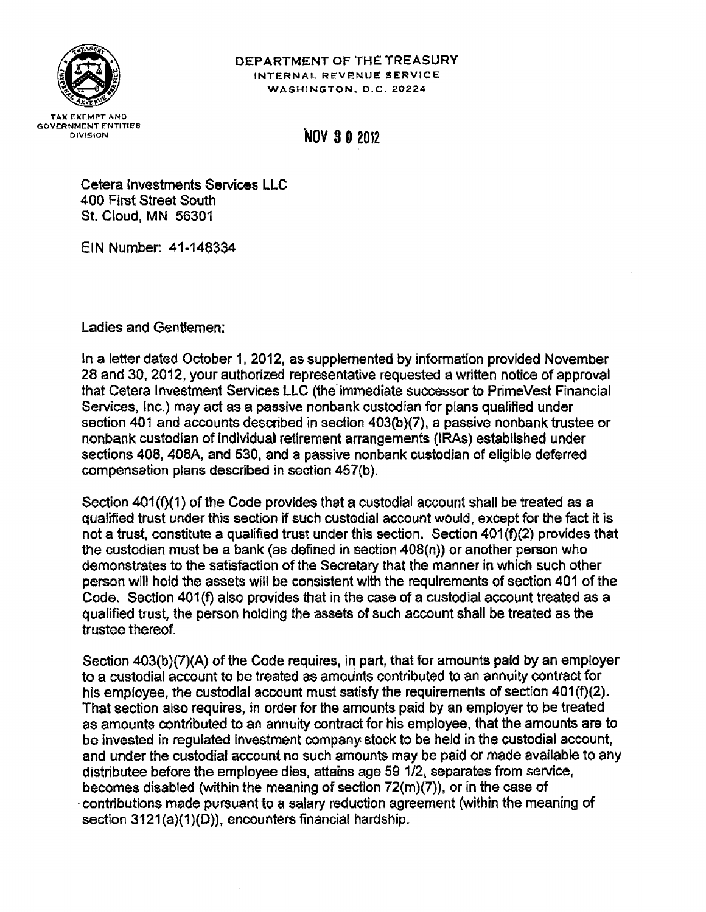

# DEPARTMENT OF THE TREASURY INTERNAL REVENUE SERVICE WASHINGTON, D.C. 20224

# **NOV 30 2012**

Cetera Investments Services LLC 400 First Street South St. Cloud, MN 56301

EIN Number: 41-148334

Ladies and Gentlemen:

In a letter dated October 1, 2012, as supplemented by information provided November 28 and 30, 2012, your authorized representative requested a written notice of approval that Cetera Investment Services LLC (the immediate successor to PrimeVest Financial Services, Inc.) may act as a passive nonbank custodian for plans qualified under section 401 and accounts described in section 403(b)(7), a passive nonbank trustee or nonbank custodian of individual retirement arrangements (IRAs) established under sections 408, 408A, and 530, and a passive nonbank custodian of eligible deferred compensation plans described in section 457(b).

Section 401(f)(1) of the Code provides that a custodial account shall be treated as a qualified trust under this section if such custodial account would, except for the fact it is not a trust, constitute a qualified trust under this section. Section 401(f)(2) provides that the custodian must be a bank (as defined in section 408(n)) or another person who demonstrates to the satisfaction of the Secretary that the manner in which such other person will hold the assets will be consistent with the requirements of section 401 of the Code. Section 401(f) also provides that in the case of a custodial account treated as a qualified trust, the person holding the assets of such account shall be treated as the trustee thereof.

Section 403(b)(7)(A) of the Code requires, in part, that for amounts paid by an employer to a custodial account to be treated as amounts contributed to an annuity contract for his employee, the custodial account must satisfy the requirements of section 401(f)(2). That section also requires, in order for the amounts paid by an employer to be treated as amounts contributed to an annuity contract for his employee, that the amounts are to be invested in regulated investment company stock to be held in the custodial account, and under the custodial account no such amounts may be paid or made available to any distributee before the employee dies, attains age 59 1/2, separates from service, becomes disabled (within the meaning of section  $72(m)(7)$ ), or in the case of contributions made pursuant to a salary reduction agreement (within the meaning of section 3121(a)(1)(D)), encounters financial hardship.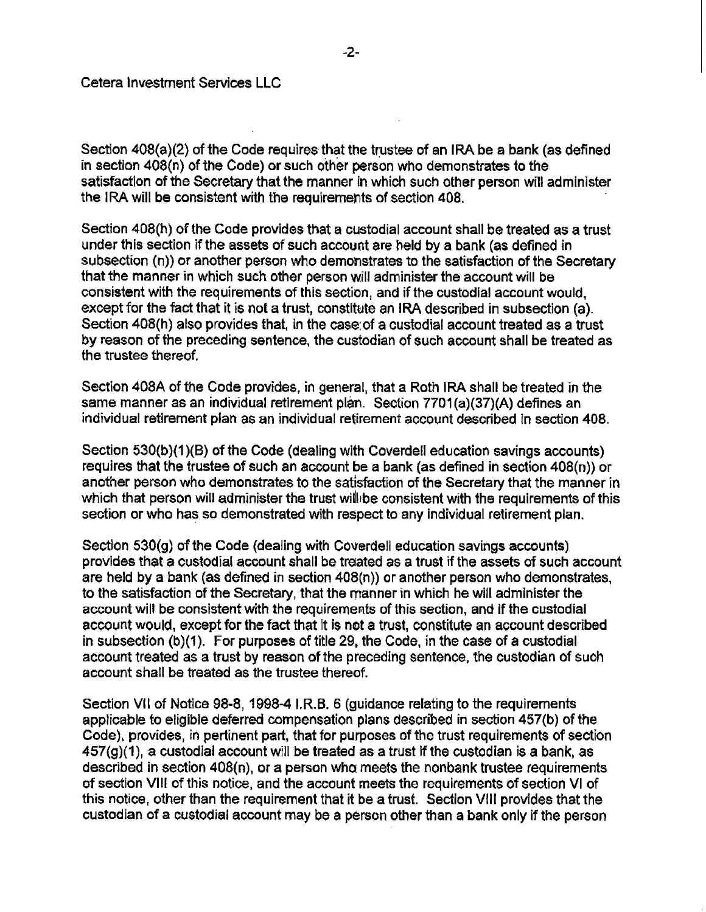Section 408(a)(2) of the Code requires that the trustee of an IRA be a bank (as defined in section 408(n) of the Code) or such other person who demonstrates to the satisfaction of the Secretary that the manner in which such other person will administer the IRA will be consistent with the requirements of section 408.

Section 408(h) of the Code provides that a custodial account shall be treated as a trust under this section if the assets of such account are held by a bank (as defined in subsection (n)) or another person who demonstrates to the satisfaction of the Secretary that the manner in which such other person will administer the account will be consistent with the requirements of this section, and if the custodial account would, except for the fact that it is not a trust, constitute an IRA described in subsection (a). Section 408(h) also provides that, in the case of a custodial account treated as a trust by reason of the preceding sentence, the custodian of such account shall be treated as the trustee thereof.

Section 408A of the Code provides, in general, that a Roth IRA shall be treated in the same manner as an individual retirement plan. Section 7701(a)(37)(A) defines an individual retirement plan as an individual retirement account described in section 408.

Section 530(b)(1)(B) of the Code (dealing with Coverdell education savings accounts) requires that the trustee of such an account be a bank (as defined in section  $408(n)$ ) or another person who demonstrates to the satisfaction of the Secretary that the manner in which that person will administer the trust will be consistent with the requirements of this section or who has so demonstrated with respect to any individual retirement plan.

Section 530(g) of the Code (dealing with Coverdell education savings accounts) provides that a custodial account shall be treated as a trust if the assets of such account are held by a bank (as defined in section 408(n)) or another person who demonstrates, to the satisfaction of the Secretary, that the manner in which he will administer the account will be consistent with the requirements of this section, and if the custodial account would, except for the fact that it is not a trust, constitute an account described in subsection (b)(1). For purposes of title 29, the Code, in the case of a custodial account treated as a trust by reason of the preceding sentence, the custodian of such account shall be treated as the trustee thereof.

Section VII of Notice 98-8, 1998-4 I.R.B. 6 (guidance relating to the requirements applicable to eligible deferred compensation plans described in section 457(b) of the Code), provides, in pertinent part, that for purposes of the trust requirements of section  $457(g)(1)$ , a custodial account will be treated as a trust if the custodian is a bank, as described in section 408(n), or a person who meets the nonbank trustee requirements of section VIII of this notice, and the account meets the requirements of section VI of this notice, other than the requirement that it be a trust. Section VIII provides that the custodian of a custodial account may be a person other than a bank only if the person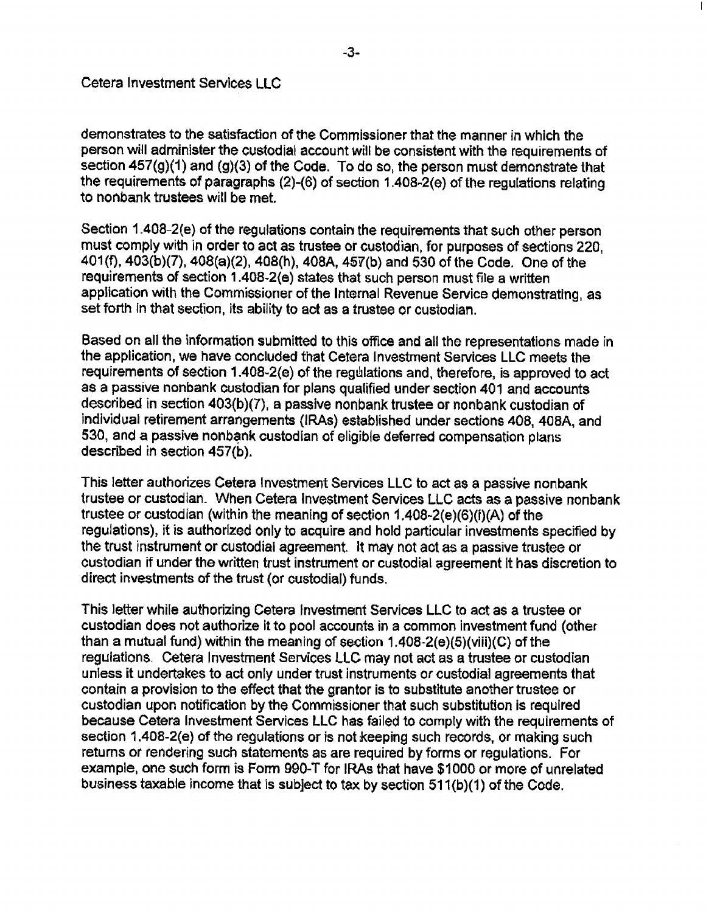demonstrates to the satisfaction of the Commissioner that the manner in which the person will administer the custodial account will be consistent with the requirements of section 457(g)(1) and (g)(3) of the Code. To do so, the person must demonstrate that the requirements of paragraphs (2)-(6) of section 1.408-2(e) of the regulations relating to nonbank trustees will be met.

Section 1.408-2(e) of the regulations contain the requirements that such other person must comply with in order to act as trustee or custodian, for purposes of sections 220. 401(f), 403(b)(7), 408(a)(2), 408(h), 408A, 457(b) and 530 of the Code. One of the requirements of section 1.408-2(e) states that such person must file a written application with the Commissioner of the Internal Revenue Service demonstrating, as set forth in that section, its ability to act as a trustee or custodian.

Based on all the information submitted to this office and all the representations made in the application, we have concluded that Cetera Investment Services LLC meets the requirements of section 1.408-2(e) of the regulations and, therefore, is approved to act as a passive nonbank custodian for plans qualified under section 401 and accounts described in section 403(b)(7), a passive nonbank trustee or nonbank custodian of individual retirement arrangements (IRAs) established under sections 408, 408A, and 530, and a passive nonbank custodian of eligible deferred compensation plans described in section 457(b).

This letter authorizes Cetera Investment Services LLC to act as a passive nonbank trustee or custodian. When Cetera Investment Services LLC acts as a passive nonbank trustee or custodian (within the meaning of section 1.408-2(e)(6)(i)(A) of the regulations), it is authorized only to acquire and hold particular investments specified by the trust instrument or custodial agreement. It may not act as a passive trustee or custodian if under the written trust instrument or custodial agreement it has discretion to direct investments of the trust (or custodial) funds.

This letter while authorizing Cetera Investment Services LLC to act as a trustee or custodian does not authorize it to pool accounts in a common investment fund (other than a mutual fund) within the meaning of section  $1.408-2(e)(5)(111)(C)$  of the regulations. Cetera Investment Services LLC may not act as a trustee or custodian unless it undertakes to act only under trust instruments or custodial agreements that contain a provision to the effect that the grantor is to substitute another trustee or custodian upon notification by the Commissioner that such substitution is required because Cetera Investment Services LLC has failed to comply with the requirements of section 1.408-2(e) of the regulations or is not keeping such records, or making such returns or rendering such statements as are required by forms or regulations. For example, one such form is Form 990-T for IRAs that have \$1000 or more of unrelated business taxable income that is subject to tax by section 511(b)(1) of the Code.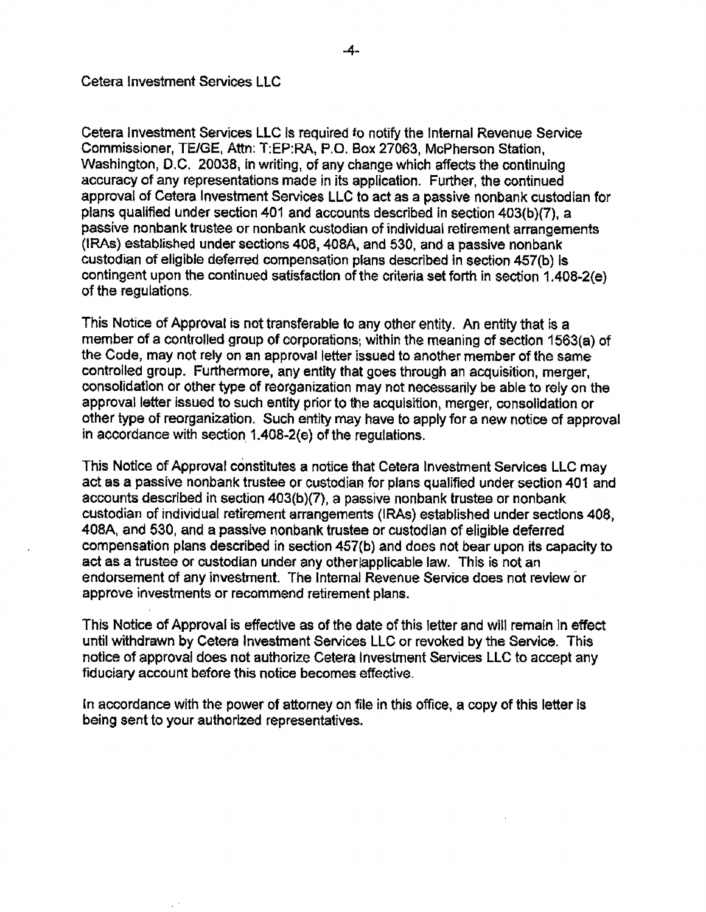Cetera Investment Services LLC is required to notify the Internal Revenue Service Commissioner, TE/GE, Attn: T:EP:RA, P.O. Box 27063, McPherson Station, Washington, D.C. 20038, in writing, of any change which affects the continuing accuracy of any representations made in its application. Further, the continued approval of Cetera Investment Services LLC to act as a passive nonbank custodian for plans qualified under section 401 and accounts described in section 403(b)(7), a passive nonbank trustee or nonbank custodian of individual retirement arrangements (IRAs) established under sections 408, 408A, and 530, and a passive nonbank custodian of eligible deferred compensation plans described in section 457(b) is contingent upon the continued satisfaction of the criteria set forth in section 1.408-2(e) of the regulations.

This Notice of Approval is not transferable to any other entity. An entity that is a member of a controlled group of corporations, within the meaning of section 1563(a) of the Code, may not rely on an approval letter issued to another member of the same controlled group. Furthermore, any entity that goes through an acquisition, merger, consolidation or other type of reorganization may not necessarily be able to rely on the approval letter issued to such entity prior to the acquisition, merger, consolidation or other type of reorganization. Such entity may have to apply for a new notice of approval in accordance with section 1.408-2(e) of the regulations.

This Notice of Approval constitutes a notice that Cetera Investment Services LLC may act as a passive nonbank trustee or custodian for plans qualified under section 401 and accounts described in section 403(b)(7), a passive nonbank trustee or nonbank custodian of individual retirement arrangements (IRAs) established under sections 408, 408A, and 530, and a passive nonbank trustee or custodian of eligible deferred compensation plans described in section 457(b) and does not bear upon its capacity to act as a trustee or custodian under any other applicable law. This is not an endorsement of any investment. The Internal Revenue Service does not review or approve investments or recommend retirement plans.

This Notice of Approval is effective as of the date of this letter and will remain in effect until withdrawn by Cetera Investment Services LLC or revoked by the Service. This notice of approval does not authorize Cetera Investment Services LLC to accept any fiduciary account before this notice becomes effective.

In accordance with the power of attorney on file in this office, a copy of this letter is being sent to your authorized representatives.